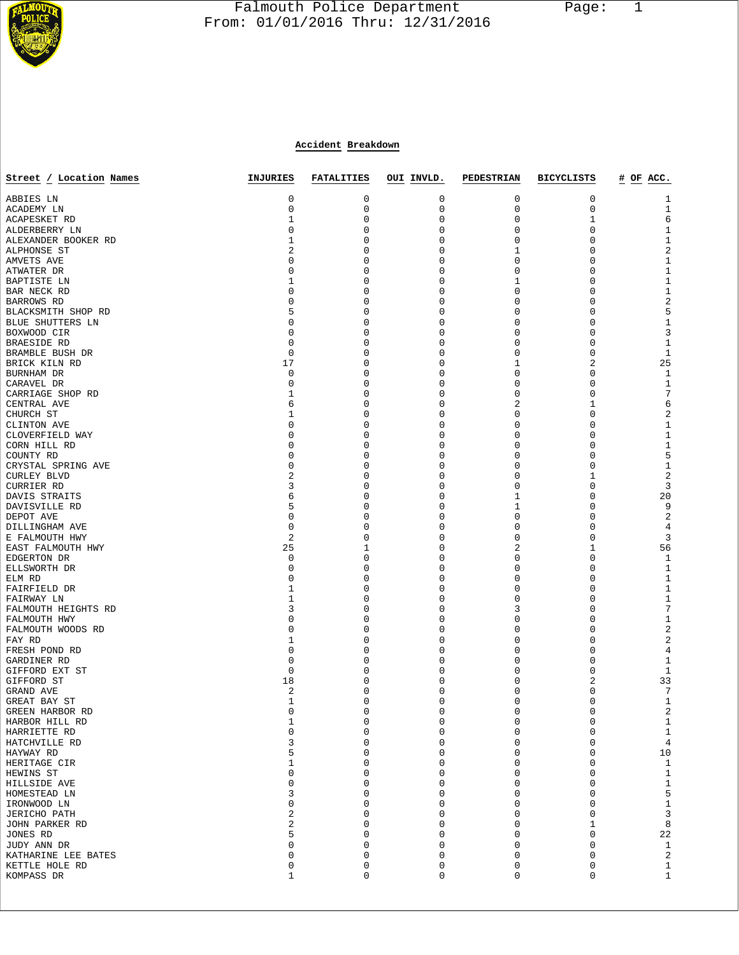

## Falmouth Police Department Page: 1  $\frac{1}{3}$  From: 01/01/2016 Thru: 12/31/2016

## **Accident Breakdown**

| Street / Location Names           | <b>INJURIES</b> | <b>FATALITIES</b> | OUI INVLD.              | <b>PEDESTRIAN</b> | <b>BICYCLISTS</b> | # OF ACC.                             |
|-----------------------------------|-----------------|-------------------|-------------------------|-------------------|-------------------|---------------------------------------|
|                                   |                 |                   |                         |                   |                   |                                       |
| ABBIES LN                         | 0<br>0          | 0                 | 0                       | 0<br>0            | 0                 | 1                                     |
| ACADEMY LN                        | 1               | 0<br>0            | 0<br>$\mathbf 0$        | 0                 | 0<br>1            | 1<br>6                                |
| ACAPESKET RD<br>ALDERBERRY LN     | 0               | 0                 | 0                       | 0                 | 0                 | $1\,$                                 |
| ALEXANDER BOOKER RD               | 1               | 0                 | 0                       | 0                 | 0                 | $\mathbf 1$                           |
| ALPHONSE ST                       | 2               | 0                 | $\Omega$                | 1                 | 0                 | $\sqrt{2}$                            |
| AMVETS AVE                        | 0               | 0                 | $\Omega$                | 0                 | 0                 | $\mathbf 1$                           |
| ATWATER DR                        | 0               | 0                 | 0                       | 0                 | 0                 | $\mathbf 1$                           |
| BAPTISTE LN                       | 1               | 0                 | $\Omega$                | 1                 | 0                 | $\mathbf 1$                           |
| BAR NECK RD                       | 0               | 0                 | $\mathbf 0$             | 0                 | 0                 | $1\,$                                 |
| BARROWS RD                        | 0               | 0                 | $\Omega$                | 0                 | 0                 | $\sqrt{2}$                            |
| BLACKSMITH SHOP RD                | 5               | 0                 | 0                       | 0                 | 0                 | 5                                     |
| BLUE SHUTTERS LN                  | 0               | 0                 | $\Omega$                | 0                 | 0                 | $\mathbf 1$                           |
| BOXWOOD CIR                       | 0               | 0                 | 0                       | 0                 | 0                 | $\mathbf{3}$                          |
| BRAESIDE RD                       | 0               | 0                 | 0                       | 0                 | 0                 | $\mathbf{1}$                          |
| BRAMBLE BUSH DR                   | 0               | 0                 | $\Omega$                | 0                 | 0                 | $\mathbf{1}$                          |
| BRICK KILN RD                     | 17              | 0                 | 0                       | 1                 | 2                 | 25                                    |
| BURNHAM DR                        | 0               | 0                 | 0                       | 0                 | 0                 | $\mathbf{1}$                          |
| CARAVEL DR                        | 0               | 0<br>0            | 0<br>O                  | 0<br>0            | 0<br>0            | $\mathbf{1}$<br>7                     |
| CARRIAGE SHOP RD<br>CENTRAL AVE   | 1<br>6          | 0                 | $\Omega$                | 2                 | 1                 | 6                                     |
| CHURCH ST                         | 1               | 0                 | 0                       | 0                 | 0                 | $\overline{c}$                        |
| CLINTON AVE                       | 0               | 0                 | $\Omega$                | 0                 | 0                 | $\mathbf 1$                           |
| CLOVERFIELD WAY                   | 0               | 0                 | 0                       | 0                 | 0                 | $\mathbf 1$                           |
| CORN HILL RD                      | 0               | 0                 | $\Omega$                | 0                 | 0                 | $1\,$                                 |
| COUNTY RD                         | 0               | 0                 | 0                       | 0                 | 0                 | 5                                     |
| CRYSTAL SPRING AVE                | 0               | 0                 | $\Omega$                | 0                 | 0                 | $\mathbf 1$                           |
| <b>CURLEY BLVD</b>                | 2               | 0                 | $\Omega$                | 0                 | 1                 | $\overline{c}$                        |
| <b>CURRIER RD</b>                 | 3               | 0                 | 0                       | 0                 | 0                 | $\mathbf{3}$                          |
| DAVIS STRAITS                     | 6               | 0                 | $\Omega$                | 1                 | 0                 | 20                                    |
| DAVISVILLE RD                     | 5               | 0                 | $\Omega$                | 1                 | 0                 | 9                                     |
| DEPOT AVE                         | 0               | 0                 | 0                       | 0                 | 0                 | $\overline{c}$                        |
| DILLINGHAM AVE                    | $\mathbf 0$     | 0                 | $\Omega$                | 0                 | 0                 | $\overline{4}$                        |
| E FALMOUTH HWY                    | 2               | 0                 | 0                       | 0                 | 0                 | 3                                     |
| EAST FALMOUTH HWY                 | 25              | 1                 | $\Omega$                | 2                 | 1                 | 56                                    |
| EDGERTON DR                       | 0               | 0                 | $\Omega$                | 0                 | 0                 | $\mathbf{1}$                          |
| ELLSWORTH DR<br>ELM RD            | 0<br>0          | 0<br>0            | $\Omega$<br>0           | 0<br>0            | 0<br>0            | $\mathbf{1}$<br>$\mathbf{1}$          |
| FAIRFIELD DR                      | 1               | 0                 | 0                       | 0                 | 0                 | $\mathbf 1$                           |
| FAIRWAY LN                        | 1               | 0                 | $\Omega$                | 0                 | 0                 | $\mathbf{1}$                          |
| FALMOUTH HEIGHTS RD               | 3               | 0                 | 0                       | 3                 | 0                 | $\overline{7}$                        |
| FALMOUTH HWY                      | 0               | 0                 | 0                       | 0                 | 0                 | $1\,$                                 |
| FALMOUTH WOODS RD                 | 0               | 0                 | $\Omega$                | 0                 | 0                 | $\sqrt{2}$                            |
| FAY RD                            | 1               | 0                 | $\Omega$                | 0                 | 0                 | $\sqrt{2}$                            |
| FRESH POND RD                     | 0               | 0                 | $\Omega$                | 0                 | 0                 | $\,4$                                 |
| GARDINER RD                       | 0               | 0                 | 0                       | 0                 | 0                 | $\mathbf 1$                           |
| GIFFORD EXT ST                    | 0               | 0                 | 0                       | 0                 | 0                 | 1                                     |
| GIFFORD ST                        | 18              | 0                 | $\Omega$                | 0                 | 2                 | 33                                    |
| GRAND AVE                         | 2               | 0                 | 0                       | 0                 | 0                 | 7                                     |
| GREAT BAY ST                      | 1<br>0          | 0<br>$\Omega$     | $\mathbf 0$<br>$\Omega$ | 0<br>$\Omega$     | 0<br>$\Omega$     | 1                                     |
| GREEN HARBOR RD<br>HARBOR HILL RD | $\mathbf{1}$    | 0                 | 0                       | 0                 | 0                 | 2                                     |
| HARRIETTE RD                      | $\mathbf 0$     | 0                 | $\mathbf{0}$            | 0                 | 0                 | 1<br>$\mathbf{1}$                     |
| HATCHVILLE RD                     | 3               | 0                 | $\mathbf{0}$            | 0                 | 0                 | $\overline{4}$                        |
| HAYWAY RD                         | 5               | 0                 | 0                       | 0                 | 0                 | 10                                    |
| HERITAGE CIR                      | 1               | $\Omega$          | 0                       | 0                 | $\Omega$          | $\mathbf{1}$                          |
| HEWINS ST                         | 0               | 0                 | $\mathbf{0}$            | 0                 | $\mathbf 0$       | $1\,$                                 |
| HILLSIDE AVE                      | 0               | 0                 | 0                       | 0                 | $\mathbf 0$       | $\mathbf 1$                           |
| HOMESTEAD LN                      | 3               | 0                 | 0                       | 0                 | 0                 |                                       |
| IRONWOOD LN                       | 0               | 0                 | $\mathbf{0}$            | 0                 | $\mathbf 0$       | $\begin{array}{c} 5 \\ 1 \end{array}$ |
| <b>JERICHO PATH</b>               | 2               | 0                 | 0                       | 0                 | $\mathbf 0$       | $\mathsf 3$                           |
| JOHN PARKER RD                    | 2               | 0                 | 0                       | 0                 | 1                 | $\,8\,$                               |
| JONES RD                          | 5               | 0                 | $\mathbf{0}$            | 0                 | $\mathbf 0$       | $2\sqrt{2}$                           |
| JUDY ANN DR                       | 0               | 0                 | 0                       | 0                 | $\mathbf 0$       | $1\,$                                 |
| KATHARINE LEE BATES               | 0               | 0                 | 0                       | 0                 | 0                 | $\sqrt{2}$                            |
| KETTLE HOLE RD                    | 0               | 0                 | $\mathsf 0$             | 0                 | 0                 | $\mathbf{1}$                          |
| KOMPASS DR                        | 1               | 0                 | $\mathsf 0$             | 0                 | 0                 | $\mathbf{1}$                          |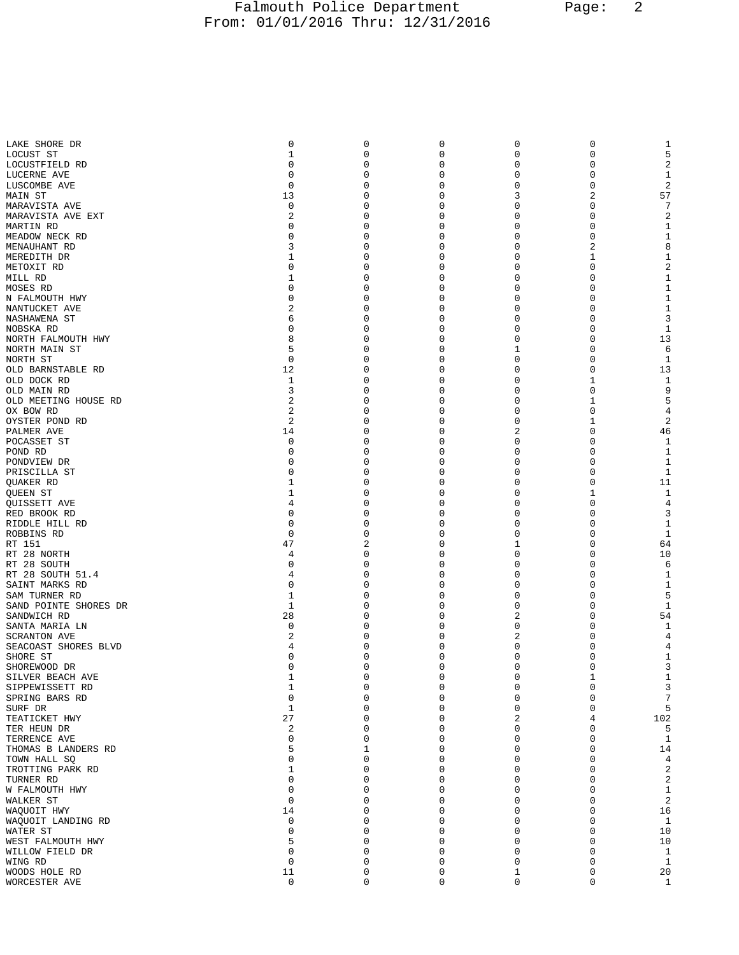## Falmouth Police Department Page: 2 From: 01/01/2016 Thru: 12/31/2016

| LAKE SHORE DR         | 0              | 0           | 0        | 0              | 0            | 1              |
|-----------------------|----------------|-------------|----------|----------------|--------------|----------------|
| LOCUST ST             | $\mathbf{1}$   | 0           | 0        | $\mathbf 0$    | 0            | 5              |
|                       |                |             |          |                |              |                |
| LOCUSTFIELD RD        | 0              | 0           | 0        | 0              | 0            | 2              |
| LUCERNE AVE           | 0              | 0           | 0        | 0              | 0            | 1              |
| LUSCOMBE AVE          | $\mathbf 0$    | 0           | 0        | $\mathbf 0$    | 0            | $\sqrt{2}$     |
| MAIN ST               | 13             | 0           | 0        | 3              | 2            | 57             |
| MARAVISTA AVE         | 0              | 0           | 0        | 0              | 0            | $\overline{7}$ |
| MARAVISTA AVE EXT     | 2              | 0           | 0        | $\mathbf 0$    | 0            | $\sqrt{2}$     |
| MARTIN RD             | 0              | 0           | 0        | 0              | 0            | 1              |
| MEADOW NECK RD        | 0              | 0           | 0        | 0              | 0            | $\mathbf{1}$   |
| MENAUHANT RD          | 3              | 0           | 0        | 0              | 2            | 8              |
|                       |                |             |          |                |              |                |
| MEREDITH DR           | 1              | 0           | 0        | 0              | 1            | $\mathbf{1}$   |
| METOXIT RD            | 0              | 0           | 0        | 0              | 0            | $\sqrt{2}$     |
| MILL RD               | $\mathbf{1}$   | 0           | 0        | 0              | 0            | $\mathbf{1}$   |
| MOSES RD              | 0              | 0           | 0        | 0              | 0            | $\mathbf{1}$   |
| N FALMOUTH HWY        | 0              | 0           | 0        | 0              | 0            | $\mathbf{1}$   |
| NANTUCKET AVE         | 2              | 0           | 0        | 0              | 0            | $\mathbf{1}$   |
| NASHAWENA ST          | 6              | 0           | 0        | 0              | 0            | 3              |
| NOBSKA RD             | 0              | 0           | 0        | 0              | 0            | 1              |
| NORTH FALMOUTH HWY    | 8              | 0           | 0        | $\mathbf 0$    | 0            | 13             |
|                       |                |             |          |                |              |                |
| NORTH MAIN ST         | 5              | 0           | 0        | 1              | 0            | 6              |
| NORTH ST              | 0              | 0           | 0        | 0              | 0            | 1              |
| OLD BARNSTABLE RD     | 12             | 0           | 0        | $\mathbf 0$    | 0            | 13             |
| OLD DOCK RD           | 1              | 0           | 0        | 0              | 1            | 1              |
| OLD MAIN RD           | 3              | 0           | 0        | 0              | 0            | 9              |
| OLD MEETING HOUSE RD  | 2              | 0           | 0        | $\mathbf 0$    | $\mathbf{1}$ | 5              |
| OX BOW RD             | 2              | 0           | 0        | 0              | 0            | $\overline{4}$ |
| OYSTER POND RD        | 2              | 0           | 0        | 0              | 1            | $\sqrt{2}$     |
|                       |                | 0           | 0        | $\overline{2}$ | 0            | 46             |
| PALMER AVE            | 14             |             |          |                |              |                |
| POCASSET ST           | 0              | 0           | 0        | 0              | 0            | 1              |
| POND RD               | 0              | 0           | 0        | 0              | 0            | 1              |
| PONDVIEW DR           | 0              | 0           | 0        | $\mathbf 0$    | 0            | $1\,$          |
| PRISCILLA ST          | 0              | 0           | 0        | 0              | 0            | 1              |
| QUAKER RD             | 1              | 0           | 0        | 0              | 0            | 11             |
| QUEEN ST              | 1              | 0           | 0        | 0              | $\mathbf{1}$ | $\mathbf{1}$   |
| QUISSETT AVE          | 4              | 0           | 0        | 0              | 0            | 4              |
|                       |                |             |          |                |              |                |
| RED BROOK RD          | 0              | 0           | 0        | 0              | 0            | 3              |
| RIDDLE HILL RD        | $\mathbf 0$    | 0           | 0        | 0              | 0            | $1\,$          |
| ROBBINS RD            | 0              | 0           | 0        | 0              | 0            | $\mathbf{1}$   |
| RT 151                | 47             | 2           | 0        | 1              | 0            | 64             |
| RT 28 NORTH           | 4              | 0           | 0        | $\mathbf 0$    | 0            | 10             |
| RT 28 SOUTH           | 0              | 0           | 0        | 0              | 0            | 6              |
| RT 28 SOUTH 51.4      | 4              | 0           | 0        | 0              | 0            | 1              |
| SAINT MARKS RD        | 0              | 0           | 0        | $\mathbf 0$    | 0            | $1\,$          |
| SAM TURNER RD         | 1              | 0           | 0        | 0              | 0            | 5              |
|                       | 1              | 0           | 0        | 0              | 0            | $\mathbf{1}$   |
| SAND POINTE SHORES DR |                |             |          |                |              |                |
| SANDWICH RD           | 28             | 0           | 0        | 2              | 0            | 54             |
| SANTA MARIA LN        | 0              | 0           | 0        | $\mathbf 0$    | 0            | 1              |
| <b>SCRANTON AVE</b>   | 2              | 0           | 0        | 2              | 0            | 4              |
| SEACOAST SHORES BLVD  | 4              | 0           | 0        | $\mathbf 0$    | 0            | $\,4$          |
| SHORE ST              | 0              | 0           | 0        | $\mathbf 0$    | 0            | 1              |
| SHOREWOOD DR          | $\Omega$       | $\Omega$    | $\Omega$ | $\Omega$       | $\Omega$     | 3              |
| SILVER BEACH AVE      | $1\,$          | 0           | 0        | $\mathbf 0$    | $1\,$        | $1\,$          |
| SIPPEWISSETT RD       | $\mathbf 1$    | 0           | 0        | $\mathbf 0$    | 0            | $\mathsf 3$    |
| SPRING BARS RD        | 0              | 0           | 0        | 0              | 0            | $\overline{7}$ |
|                       |                |             |          |                |              |                |
| SURF DR               | $\mathbf 1$    | 0           | 0        | $\mathbf 0$    | 0            | 5              |
| TEATICKET HWY         | 27             | 0           | 0        | 2              | 4            | 102            |
| TER HEUN DR           | $\overline{c}$ | 0           | 0        | $\mathbf 0$    | 0            | 5              |
| TERRENCE AVE          | $\mathbf 0$    | $\mathbf 0$ | 0        | $\mathbf 0$    | 0            | $\mathbf{1}$   |
| THOMAS B LANDERS RD   | 5              | 1           | 0        | $\mathbf 0$    | 0            | 14             |
| TOWN HALL SQ          | 0              | 0           | 0        | $\mathbf 0$    | 0            | $\overline{4}$ |
| TROTTING PARK RD      | $\mathbf 1$    | $\mathbf 0$ | 0        | $\mathbf 0$    | 0            | $\sqrt{2}$     |
|                       | 0              | 0           | 0        |                |              |                |
| TURNER RD             |                |             |          | 0              | 0            | $\sqrt{2}$     |
| W FALMOUTH HWY        | 0              | 0           | $\Omega$ | $\mathbf 0$    | 0            | $\mathbf 1$    |
| WALKER ST             | $\mathbf 0$    | 0           | 0        | $\mathbf 0$    | 0            | $\sqrt{2}$     |
| WAOUOIT HWY           | 14             | 0           | 0        | $\mathbf 0$    | 0            | 16             |
| WAQUOIT LANDING RD    | 0              | 0           | 0        | $\mathbf 0$    | 0            | $\mathbf{1}$   |
| WATER ST              | 0              | $\mathbf 0$ | 0        | $\mathbf 0$    | 0            | 10             |
| WEST FALMOUTH HWY     | 5              | 0           | 0        | $\mathbf 0$    | 0            | 10             |
| WILLOW FIELD DR       | 0              | 0           | 0        | 0              | 0            | $\mathbf{1}$   |
|                       | $\mathbf 0$    | $\mathbf 0$ | 0        | $\mathbf 0$    | 0            | $\,$ 1         |
| WING RD               |                |             |          |                |              |                |
| WOODS HOLE RD         | 11             | 0           | 0        | 1              | 0            | 20             |
| WORCESTER AVE         | $\mathsf 0$    | 0           | 0        | $\mathbf 0$    | 0            | 1              |